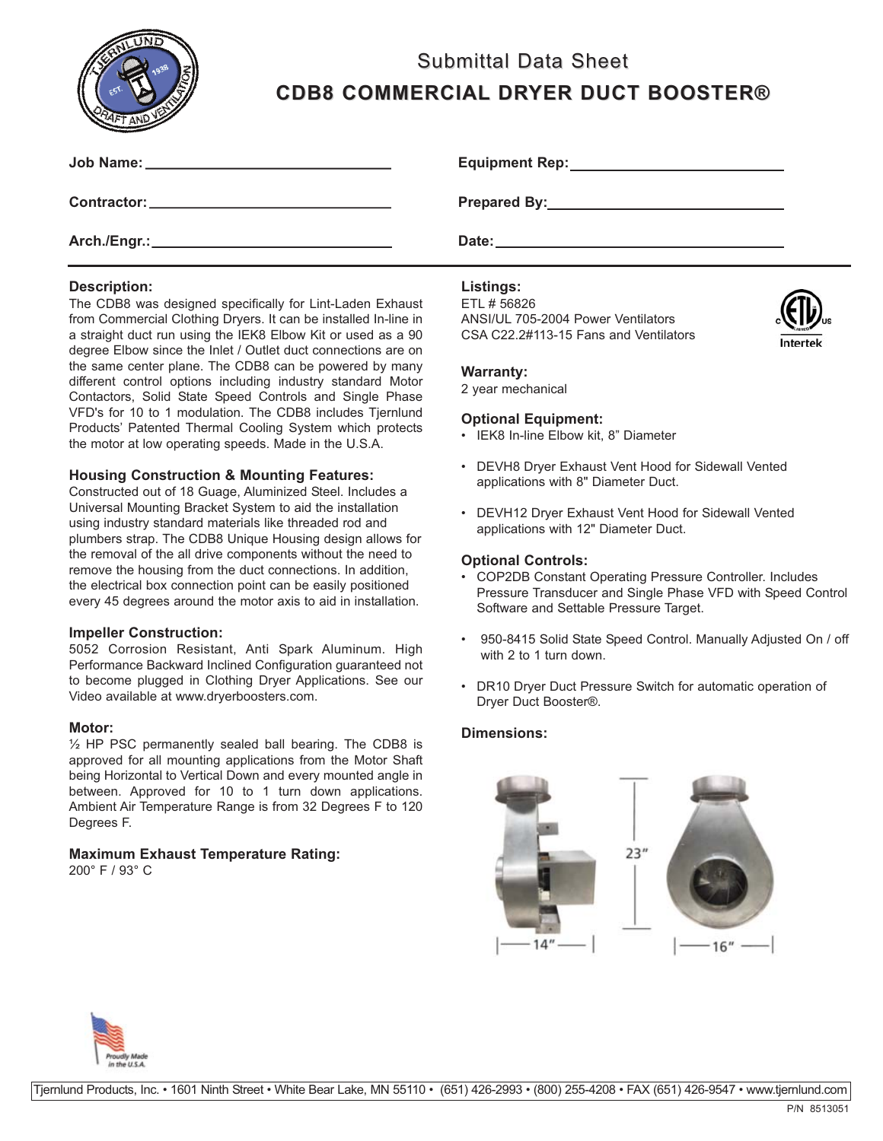

# Submittal Data Sheet **CDB8 COMMERCIAL DRYER DUCT BOOSTER® CDB8 COMMERCIAL DRYER DUCT BOOSTER®**

| Job Name: ____________________________       | <b>Equipmer</b> |
|----------------------------------------------|-----------------|
| Contractor: ______________________________   | <b>Prepared</b> |
| Arch./Engr.:________________________________ | Date: $\_\_$    |

## **Description:**

The CDB8 was designed specifically for Lint-Laden Exhaust from Commercial Clothing Dryers. It can be installed In-line in a straight duct run using the IEK8 Elbow Kit or used as a 90 degree Elbow since the Inlet / Outlet duct connections are on the same center plane. The CDB8 can be powered by many different control options including industry standard Motor Contactors, Solid State Speed Controls and Single Phase VFD's for 10 to 1 modulation. The CDB8 includes Tjernlund Products' Patented Thermal Cooling System which protects the motor at low operating speeds. Made in the U.S.A.

## **Housing Construction & Mounting Features:**

Constructed out of 18 Guage, Aluminized Steel. Includes a Universal Mounting Bracket System to aid the installation using industry standard materials like threaded rod and plumbers strap. The CDB8 Unique Housing design allows for the removal of the all drive components without the need to remove the housing from the duct connections. In addition, the electrical box connection point can be easily positioned every 45 degrees around the motor axis to aid in installation.

## **Impeller Construction:**

5052 Corrosion Resistant, Anti Spark Aluminum. High Performance Backward Inclined Configuration guaranteed not to become plugged in Clothing Dryer Applications. See our Video available at www.dryerboosters.com.

## **Motor:**

½ HP PSC permanently sealed ball bearing. The CDB8 is approved for all mounting applications from the Motor Shaft being Horizontal to Vertical Down and every mounted angle in between. Approved for 10 to 1 turn down applications. Ambient Air Temperature Range is from 32 Degrees F to 120 Degrees F.

## **Maximum Exhaust Temperature Rating:**

200° F / 93° C

**Equipment Rep:**

**Pressure By:**  $\blacksquare$ 

## **Listings:**

ETL # 56826 ANSI/UL 705-2004 Power Ventilators CSA C22.2#113-15 Fans and Ventilators



#### **Warranty:**

2 year mechanical

## **Optional Equipment:**

- IEK8 In-line Elbow kit, 8" Diameter
- DEVH8 Dryer Exhaust Vent Hood for Sidewall Vented applications with 8" Diameter Duct.
- DEVH12 Dryer Exhaust Vent Hood for Sidewall Vented applications with 12" Diameter Duct.

## **Optional Controls:**

- COP2DB Constant Operating Pressure Controller. Includes Pressure Transducer and Single Phase VFD with Speed Control Software and Settable Pressure Target.
- 950-8415 Solid State Speed Control. Manually Adjusted On / off with 2 to 1 turn down.
- DR10 Dryer Duct Pressure Switch for automatic operation of Dryer Duct Booster®.

## **Dimensions:**